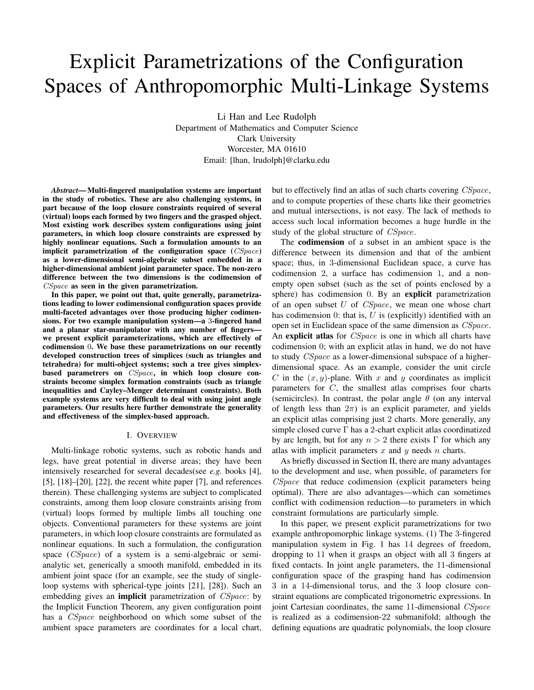# Explicit Parametrizations of the Configuration Spaces of Anthropomorphic Multi-Linkage Systems

Li Han and Lee Rudolph Department of Mathematics and Computer Science Clark University Worcester, MA 01610 Email: [lhan, lrudolph]@clarku.edu

*Abstract*— Multi-fingered manipulation systems are important in the study of robotics. These are also challenging systems, in part because of the loop closure constraints required of several (virtual) loops each formed by two fingers and the grasped object. Most existing work describes system configurations using joint parameters, in which loop closure constraints are expressed by highly nonlinear equations. Such a formulation amounts to an implicit parametrization of the configuration space (CSpace) as a lower-dimensional semi-algebraic subset embedded in a higher-dimensional ambient joint parameter space. The non-zero difference between the two dimensions is the codimension of CSpace as seen in the given parametrization.

In this paper, we point out that, quite generally, parametrizations leading to lower codimensional configuration spaces provide multi-faceted advantages over those producing higher codimensions. For two example manipulation system—a 3-fingered hand and a planar star-manipulator with any number of fingerswe present explicit parameterizations, which are effectively of codimension 0. We base these parametrizations on our recently developed construction trees of simplices (such as triangles and tetrahedra) for multi-object systems; such a tree gives simplexbased parametrers on CSpace, in which loop closure constraints become simplex formation constraints (such as triangle inequalities and Cayley–Menger determinant constraints). Both example systems are very difficult to deal with using joint angle parameters. Our results here further demonstrate the generality and effectiveness of the simplex-based approach.

## I. OVERVIEW

Multi-linkage robotic systems, such as robotic hands and legs, have great potential in diverse areas; they have been intensively researched for several decades(see *e.g.* books [4], [5], [18]–[20], [22], the recent white paper [7], and references therein). These challenging systems are subject to complicated constraints, among them loop closure constraints arising from (virtual) loops formed by multiple limbs all touching one objects. Conventional parameters for these systems are joint parameters, in which loop closure constraints are formulated as nonlinear equations. In such a formulation, the configuration space (CSpace) of a system is a semi-algebraic or semianalytic set, generically a smooth manifold, embedded in its ambient joint space (for an example, see the study of singleloop systems with spherical-type joints [21], [28]). Such an embedding gives an **implicit** parametrization of *CSpace*: by the Implicit Function Theorem, any given configuration point has a CSpace neighborhood on which some subset of the ambient space parameters are coordinates for a local chart, but to effectively find an atlas of such charts covering CSpace, and to compute properties of these charts like their geometries and mutual intersections, is not easy. The lack of methods to access such local information becomes a huge hurdle in the study of the global structure of *CSpace*.

The codimension of a subset in an ambient space is the difference between its dimension and that of the ambient space; thus, in 3-dimensional Euclidean space, a curve has codimension 2, a surface has codimension 1, and a nonempty open subset (such as the set of points enclosed by a sphere) has codimension 0. By an explicit parametrization of an open subset  $U$  of  $CSpace$ , we mean one whose chart has codimension 0: that is,  $U$  is (explicitly) identified with an open set in Euclidean space of the same dimension as CSpace. An explicit atlas for *CSpace* is one in which all charts have codimension 0; with an explicit atlas in hand, we do not have to study CSpace as a lower-dimensional subspace of a higherdimensional space. As an example, consider the unit circle C in the  $(x, y)$ -plane. With x and y coordinates as implicit parameters for C, the smallest atlas comprises four charts (semicircles). In contrast, the polar angle  $\theta$  (on any interval of length less than  $2\pi$ ) is an explicit parameter, and yields an explicit atlas comprising just 2 charts. More generally, any simple closed curve Γ has a 2-chart explicit atlas coordinatized by arc length, but for any  $n > 2$  there exists  $\Gamma$  for which any atlas with implicit parameters  $x$  and  $y$  needs  $n$  charts.

As briefly discussed in Section II, there are many advantages to the development and use, when possible, of parameters for CSpace that reduce codimension (explicit parameters being optimal). There are also advantages—which can sometimes conflict with codimension reduction—to parameters in which constraint formulations are particularly simple.

In this paper, we present explicit parametrizations for two example anthropomorphic linkage systems. (1) The 3-fingered manipulation system in Fig. 1 has 14 degrees of freedom, dropping to 11 when it grasps an object with all 3 fingers at fixed contacts. In joint angle parameters, the 11-dimensional configuration space of the grasping hand has codimension 3 in a 14-dimensional torus, and the 3 loop closure constraint equations are complicated trigonometric expressions. In joint Cartesian coordinates, the same 11-dimensional CSpace is realized as a codimension-22 submanifold; although the defining equations are quadratic polynomials, the loop closure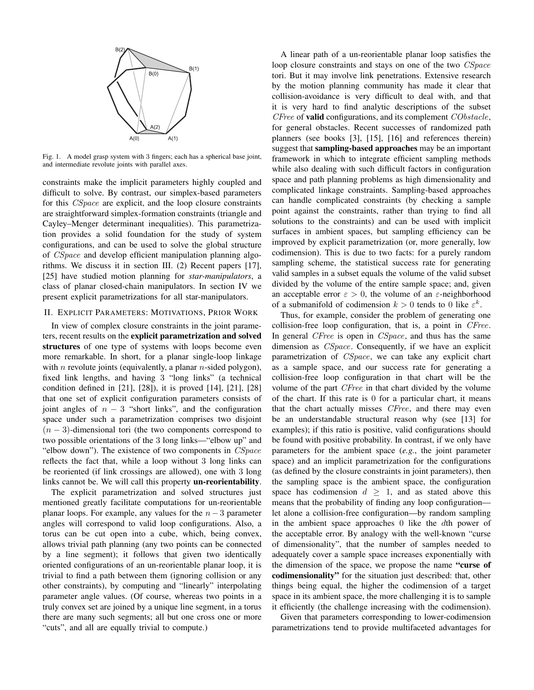

Fig. 1. A model grasp system with 3 fingers; each has a spherical base joint, and intermediate revolute joints with parallel axes.

constraints make the implicit parameters highly coupled and difficult to solve. By contrast, our simplex-based parameters for this CSpace are explicit, and the loop closure constraints are straightforward simplex-formation constraints (triangle and Cayley–Menger determinant inequalities). This parametrization provides a solid foundation for the study of system configurations, and can be used to solve the global structure of CSpace and develop efficient manipulation planning algorithms. We discuss it in section III. (2) Recent papers [17], [25] have studied motion planning for *star-manipulators*, a class of planar closed-chain manipulators. In section IV we present explicit parametrizations for all star-manipulators.

## II. EXPLICIT PARAMETERS: MOTIVATIONS, PRIOR WORK

In view of complex closure constraints in the joint parameters, recent results on the explicit parametrization and solved structures of one type of systems with loops become even more remarkable. In short, for a planar single-loop linkage with *n* revolute joints (equivalently, a planar *n*-sided polygon), fixed link lengths, and having 3 "long links" (a technical condition defined in [21], [28]), it is proved [14], [21], [28] that one set of explicit configuration parameters consists of joint angles of  $n - 3$  "short links", and the configuration space under such a parametrization comprises two disjoint  $(n-3)$ -dimensional tori (the two components correspond to two possible orientations of the 3 long links—"elbow up" and "elbow down"). The existence of two components in CSpace reflects the fact that, while a loop without 3 long links can be reoriented (if link crossings are allowed), one with 3 long links cannot be. We will call this property un-reorientability.

The explicit parametrization and solved structures just mentioned greatly facilitate computations for un-reorientable planar loops. For example, any values for the  $n-3$  parameter angles will correspond to valid loop configurations. Also, a torus can be cut open into a cube, which, being convex, allows trivial path planning (any two points can be connected by a line segment); it follows that given two identically oriented configurations of an un-reorientable planar loop, it is trivial to find a path between them (ignoring collision or any other constraints), by computing and "linearly" interpolating parameter angle values. (Of course, whereas two points in a truly convex set are joined by a unique line segment, in a torus there are many such segments; all but one cross one or more "cuts", and all are equally trivial to compute.)

A linear path of a un-reorientable planar loop satisfies the loop closure constraints and stays on one of the two CSpace tori. But it may involve link penetrations. Extensive research by the motion planning community has made it clear that collision-avoidance is very difficult to deal with, and that it is very hard to find analytic descriptions of the subset CFree of valid configurations, and its complement CObstacle, for general obstacles. Recent successes of randomized path planners (see books [3], [15], [16] and references therein) suggest that sampling-based approaches may be an important framework in which to integrate efficient sampling methods while also dealing with such difficult factors in configuration space and path planning problems as high dimensionality and complicated linkage constraints. Sampling-based approaches can handle complicated constraints (by checking a sample point against the constraints, rather than trying to find all solutions to the constraints) and can be used with implicit surfaces in ambient spaces, but sampling efficiency can be improved by explicit parametrization (or, more generally, low codimension). This is due to two facts: for a purely random sampling scheme, the statistical success rate for generating valid samples in a subset equals the volume of the valid subset divided by the volume of the entire sample space; and, given an acceptable error  $\varepsilon > 0$ , the volume of an  $\varepsilon$ -neighborhood of a submanifold of codimension  $k > 0$  tends to 0 like  $\varepsilon^k$ .

Thus, for example, consider the problem of generating one collision-free loop configuration, that is, a point in CFree. In general *CFree* is open in *CSpace*, and thus has the same dimension as *CSpace*. Consequently, if we have an explicit parametrization of CSpace, we can take any explicit chart as a sample space, and our success rate for generating a collision-free loop configuration in that chart will be the volume of the part CFree in that chart divided by the volume of the chart. If this rate is 0 for a particular chart, it means that the chart actually misses CFree, and there may even be an understandable structural reason why (see [13] for examples); if this ratio is positive, valid configurations should be found with positive probability. In contrast, if we only have parameters for the ambient space (*e.g.*, the joint parameter space) and an implicit parametrization for the configurations (as defined by the closure constraints in joint parameters), then the sampling space is the ambient space, the configuration space has codimension  $d \geq 1$ , and as stated above this means that the probability of finding any loop configuration let alone a collision-free configuration—by random sampling in the ambient space approaches 0 like the dth power of the acceptable error. By analogy with the well-known "curse of dimensionality", that the number of samples needed to adequately cover a sample space increases exponentially with the dimension of the space, we propose the name "curse of codimensionality" for the situation just described: that, other things being equal, the higher the codimension of a target space in its ambient space, the more challenging it is to sample it efficiently (the challenge increasing with the codimension).

Given that parameters corresponding to lower-codimension parametrizations tend to provide multifaceted advantages for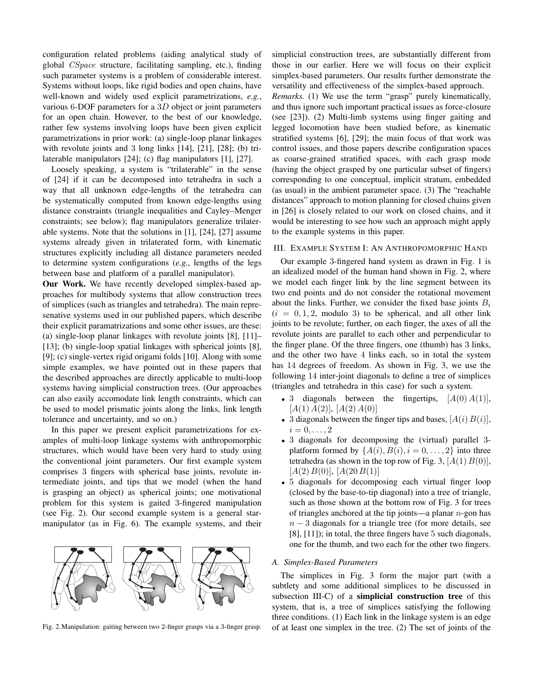configuration related problems (aiding analytical study of global CSpace structure, facilitating sampling, etc.), finding such parameter systems is a problem of considerable interest. Systems without loops, like rigid bodies and open chains, have well-known and widely used explicit parametrizations, *e.g.*, various 6-DOF parameters for a 3D object or joint parameters for an open chain. However, to the best of our knowledge, rather few systems involving loops have been given explicit parametrizations in prior work: (a) single-loop planar linkages with revolute joints and 3 long links [14], [21], [28]; (b) trilaterable manipulators [24]; (c) flag manipulators [1], [27].

Loosely speaking, a system is "trilaterable" in the sense of [24] if it can be decomposed into tetrahedra in such a way that all unknown edge-lengths of the tetrahedra can be systematically computed from known edge-lengths using distance constraints (triangle inequalities and Cayley–Menger constraints; see below); flag manipulators generalize trilaterable systems. Note that the solutions in [1], [24], [27] assume systems already given in trilaterated form, with kinematic structures explicitly including all distance parameters needed to determine system configurations (*e.g.*, lengths of the legs between base and platform of a parallel manipulator).

Our Work. We have recently developed simplex-based approaches for multibody systems that allow construction trees of simplices (such as triangles and tetrahedra). The main represenative systems used in our published papers, which describe their explicit paramatrizations and some other issues, are these: (a) single-loop planar linkages with revolute joints [8], [11]– [13]; (b) single-loop spatial linkages with spherical joints [8], [9]; (c) single-vertex rigid origami folds [10]. Along with some simple examples, we have pointed out in these papers that the described approaches are directly applicable to multi-loop systems having simplicial construction trees. (Our approaches can also easily accomodate link length constraints, which can be used to model prismatic joints along the links, link length tolerance and uncertainty, and so on.)

In this paper we present explicit parametrizations for examples of multi-loop linkage systems with anthropomorphic structures, which would have been very hard to study using the conventional joint parameters. Our first example system comprises 3 fingers with spherical base joints, revolute intermediate joints, and tips that we model (when the hand is grasping an object) as spherical joints; one motivational problem for this system is gaited 3-fingered manipulation (see Fig. 2). Our second example system is a general starmanipulator (as in Fig. 6). The example systems, and their



Fig. 2.Manipulation: gaiting between two 2-finger grasps via a 3-finger grasp.

simplicial construction trees, are substantially different from those in our earlier. Here we will focus on their explicit simplex-based parameters. Our results further demonstrate the versatility and effectiveness of the simplex-based approach. *Remarks.* (1) We use the term "grasp" purely kinematically, and thus ignore such important practical issues as force-closure (see [23]). (2) Multi-limb systems using finger gaiting and legged locomotion have been studied before, as kinematic stratified systems [6], [29]; the main focus of that work was control issues, and those papers describe configuration spaces as coarse-grained stratified spaces, with each grasp mode (having the object grasped by one particular subset of fingers) corresponding to one conceptual, implicit stratum, embedded (as usual) in the ambient parameter space. (3) The "reachable distances" approach to motion planning for closed chains given in [26] is closely related to our work on closed chains, and it would be interesting to see how such an approach might apply to the example systems in this paper.

## III. EXAMPLE SYSTEM I: AN ANTHROPOMORPHIC HAND

Our example 3-fingered hand system as drawn in Fig. 1 is an idealized model of the human hand shown in Fig. 2, where we model each finger link by the line segment between its two end points and do not consider the rotational movement about the links. Further, we consider the fixed base joints  $B_i$  $(i = 0, 1, 2,$  modulo 3) to be spherical, and all other link joints to be revolute; further, on each finger, the axes of all the revolute joints are parallel to each other and perpendicular to the finger plane. Of the three fingers, one (thumb) has 3 links, and the other two have 4 links each, so in total the system has 14 degrees of freedom. As shown in Fig. 3, we use the following 14 inter-joint diagonals to define a tree of simplices (triangles and tetrahedra in this case) for such a system.

- 3 diagonals between the fingertips,  $[A(0) A(1)]$ ,  $[A(1) A(2)]$ ,  $[A(2) A(0)]$
- 3 diagonals between the finger tips and bases,  $[A(i) B(i)]$ ,  $i=0,\ldots,2$
- 3 diagonals for decomposing the (virtual) parallel 3 platform formed by  $\{A(i), B(i), i = 0, \ldots, 2\}$  into three tetrahedra (as shown in the top row of Fig. 3,  $[A(1) B(0)],$  $[A(2) B(0)], [A(20 B(1))]$
- 5 diagonals for decomposing each virtual finger loop (closed by the base-to-tip diagonal) into a tree of triangle, such as those shown at the bottom row of Fig. 3 for trees of triangles anchored at the tip joints—a planar  $n$ -gon has  $n-3$  diagonals for a triangle tree (for more details, see [8], [11]); in total, the three fingers have 5 such diagonals, one for the thumb, and two each for the other two fingers.

#### *A. Simplex-Based Parameters*

The simplices in Fig. 3 form the major part (with a subtlety and some additional simplices to be discussed in subsection III-C) of a simplicial construction tree of this system, that is, a tree of simplices satisfying the following three conditions. (1) Each link in the linkage system is an edge of at least one simplex in the tree. (2) The set of joints of the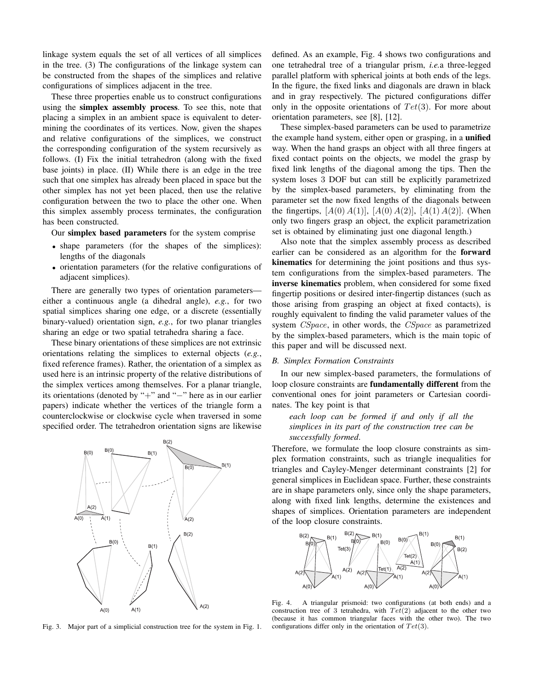linkage system equals the set of all vertices of all simplices in the tree. (3) The configurations of the linkage system can be constructed from the shapes of the simplices and relative configurations of simplices adjacent in the tree.

These three properties enable us to construct configurations using the simplex assembly process. To see this, note that placing a simplex in an ambient space is equivalent to determining the coordinates of its vertices. Now, given the shapes and relative configurations of the simplices, we construct the corresponding configuration of the system recursively as follows. (I) Fix the initial tetrahedron (along with the fixed base joints) in place. (II) While there is an edge in the tree such that one simplex has already been placed in space but the other simplex has not yet been placed, then use the relative configuration between the two to place the other one. When this simplex assembly process terminates, the configuration has been constructed.

Our simplex based parameters for the system comprise

- shape parameters (for the shapes of the simplices): lengths of the diagonals
- orientation parameters (for the relative configurations of adjacent simplices).

There are generally two types of orientation parameters either a continuous angle (a dihedral angle), *e.g.*, for two spatial simplices sharing one edge, or a discrete (essentially binary-valued) orientation sign, *e.g.*, for two planar triangles sharing an edge or two spatial tetrahedra sharing a face.

These binary orientations of these simplices are not extrinsic orientations relating the simplices to external objects (*e.g.*, fixed reference frames). Rather, the orientation of a simplex as used here is an intrinsic property of the relative distributions of the simplex vertices among themselves. For a planar triangle, its orientations (denoted by "+" and "−" here as in our earlier papers) indicate whether the vertices of the triangle form a counterclockwise or clockwise cycle when traversed in some specified order. The tetrahedron orientation signs are likewise



Fig. 3. Major part of a simplicial construction tree for the system in Fig. 1.

defined. As an example, Fig. 4 shows two configurations and one tetrahedral tree of a triangular prism, *i.e.*a three-legged parallel platform with spherical joints at both ends of the legs. In the figure, the fixed links and diagonals are drawn in black and in gray respectively. The pictured configurations differ only in the opposite orientations of  $T e t(3)$ . For more about orientation parameters, see [8], [12].

These simplex-based parameters can be used to parametrize the example hand system, either open or grasping, in a unified way. When the hand grasps an object with all three fingers at fixed contact points on the objects, we model the grasp by fixed link lengths of the diagonal among the tips. Then the system loses 3 DOF but can still be explicitly parametrized by the simplex-based parameters, by eliminating from the parameter set the now fixed lengths of the diagonals between the fingertips,  $[A(0) A(1)]$ ,  $[A(0) A(2)]$ ,  $[A(1) A(2)]$ . (When only two fingers grasp an object, the explicit parametrization set is obtained by eliminating just one diagonal length.)

Also note that the simplex assembly process as described earlier can be considered as an algorithm for the forward kinematics for determining the joint positions and thus system configurations from the simplex-based parameters. The inverse kinematics problem, when considered for some fixed fingertip positions or desired inter-fingertip distances (such as those arising from grasping an object at fixed contacts), is roughly equivalent to finding the valid parameter values of the system CSpace, in other words, the CSpace as parametrized by the simplex-based parameters, which is the main topic of this paper and will be discussed next.

## *B. Simplex Formation Constraints*

In our new simplex-based parameters, the formulations of loop closure constraints are fundamentally different from the conventional ones for joint parameters or Cartesian coordinates. The key point is that

*each loop can be formed if and only if all the simplices in its part of the construction tree can be successfully formed*.

Therefore, we formulate the loop closure constraints as simplex formation constraints, such as triangle inequalities for triangles and Cayley-Menger determinant constraints [2] for general simplices in Euclidean space. Further, these constraints are in shape parameters only, since only the shape parameters, along with fixed link lengths, determine the existences and shapes of simplices. Orientation parameters are independent of the loop closure constraints.



Fig. 4. A triangular prismoid: two configurations (at both ends) and a construction tree of 3 tetrahedra, with  $T e t(2)$  adjacent to the other two (because it has common triangular faces with the other two). The two configurations differ only in the orientation of  $T e t(3)$ .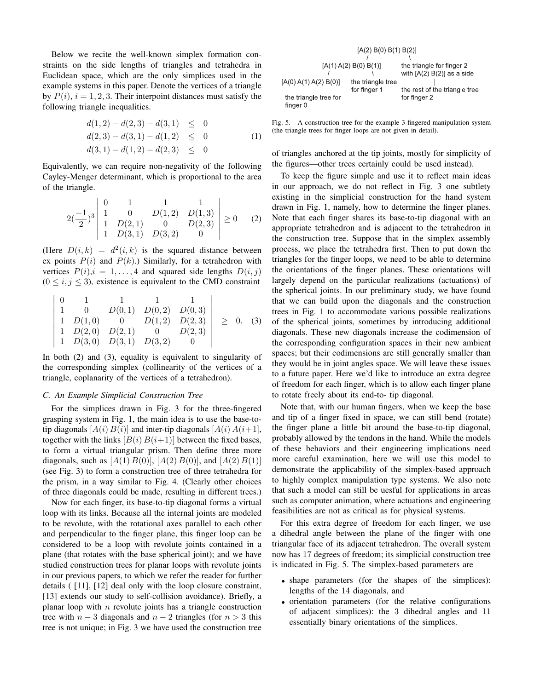Below we recite the well-known simplex formation constraints on the side lengths of triangles and tetrahedra in Euclidean space, which are the only simplices used in the example systems in this paper. Denote the vertices of a triangle by  $P(i)$ ,  $i = 1, 2, 3$ . Their interpoint distances must satisfy the following triangle inequalities.

$$
d(1,2) - d(2,3) - d(3,1) \le 0
$$
  
\n
$$
d(2,3) - d(3,1) - d(1,2) \le 0
$$
  
\n
$$
d(3,1) - d(1,2) - d(2,3) \le 0
$$
\n(1)

Equivalently, we can require non-negativity of the following Cayley-Menger determinant, which is proportional to the area of the triangle.

$$
2\left(\frac{-1}{2}\right)^3 \left| \begin{array}{ccc} 0 & 1 & 1 & 1 \\ 1 & 0 & D(1,2) & D(1,3) \\ 1 & D(2,1) & 0 & D(2,3) \\ 1 & D(3,1) & D(3,2) & 0 \end{array} \right| \ge 0 \quad (2)
$$

(Here  $D(i,k) = d^2(i,k)$  is the squared distance between ex points  $P(i)$  and  $P(k)$ .) Similarly, for a tetrahedron with vertices  $P(i)$ ,  $i = 1, ..., 4$  and squared side lengths  $D(i, j)$  $(0 \le i, j \le 3)$ , existence is equivalent to the CMD constraint

$$
\begin{vmatrix}\n0 & 1 & 1 & 1 & 1 \\
1 & 0 & D(0,1) & D(0,2) & D(0,3) \\
1 & D(1,0) & 0 & D(1,2) & D(2,3) \\
1 & D(2,0) & D(2,1) & 0 & D(2,3) \\
1 & D(3,0) & D(3,1) & D(3,2) & 0\n\end{vmatrix} \geq 0.
$$
 (3)

In both (2) and (3), equality is equivalent to singularity of the corresponding simplex (collinearity of the vertices of a triangle, coplanarity of the vertices of a tetrahedron).

## *C. An Example Simplicial Construction Tree*

For the simplices drawn in Fig. 3 for the three-fingered grasping system in Fig. 1, the main idea is to use the base-totip diagonals  $[A(i) B(i)]$  and inter-tip diagonals  $[A(i) A(i+1)]$ , together with the links  $[B(i) B(i+1)]$  between the fixed bases, to form a virtual triangular prism. Then define three more diagonals, such as  $[A(1) B(0)]$ ,  $[A(2) B(0)]$ , and  $[A(2) B(1)]$ (see Fig. 3) to form a construction tree of three tetrahedra for the prism, in a way similar to Fig. 4. (Clearly other choices of three diagonals could be made, resulting in different trees.)

Now for each finger, its base-to-tip diagonal forms a virtual loop with its links. Because all the internal joints are modeled to be revolute, with the rotational axes parallel to each other and perpendicular to the finger plane, this finger loop can be considered to be a loop with revolute joints contained in a plane (that rotates with the base spherical joint); and we have studied construction trees for planar loops with revolute joints in our previous papers, to which we refer the reader for further details ( [11], [12] deal only with the loop closure constraint, [13] extends our study to self-collision avoidance). Briefly, a planar loop with  $n$  revolute joints has a triangle construction tree with  $n-3$  diagonals and  $n-2$  triangles (for  $n > 3$  this tree is not unique; in Fig. 3 we have used the construction tree

## $[A(2) B(0) B(1) B(2)]$

| [A(1) A(2) B(0) B(1)] |                   | the triangle for finger 2     |
|-----------------------|-------------------|-------------------------------|
|                       |                   | with $[A(2) B(2)]$ as a side  |
| [A(0) A(1) A(2) B(0)] | the triangle tree |                               |
|                       | for finger 1      | the rest of the triangle tree |
| the triangle tree for |                   | for finger 2                  |
| finger 0              |                   |                               |

Fig. 5. A construction tree for the example 3-fingered manipulation system (the triangle trees for finger loops are not given in detail).

of triangles anchored at the tip joints, mostly for simplicity of the figures—other trees certainly could be used instead).

To keep the figure simple and use it to reflect main ideas in our approach, we do not reflect in Fig. 3 one subtlety existing in the simplicial construction for the hand system drawn in Fig. 1, namely, how to determine the finger planes. Note that each finger shares its base-to-tip diagonal with an appropriate tetrahedron and is adjacent to the tetrahedron in the construction tree. Suppose that in the simplex assembly process, we place the tetrahedra first. Then to put down the triangles for the finger loops, we need to be able to determine the orientations of the finger planes. These orientations will largely depend on the particular realizations (actuations) of the spherical joints. In our preliminary study, we have found that we can build upon the diagonals and the construction trees in Fig. 1 to accommodate various possible realizations of the spherical joints, sometimes by introducing additional diagonals. These new diagonals increase the codimension of the corresponding configuration spaces in their new ambient spaces; but their codimensions are still generally smaller than they would be in joint angles space. We will leave these issues to a future paper. Here we'd like to introduce an extra degree of freedom for each finger, which is to allow each finger plane to rotate freely about its end-to- tip diagonal.

Note that, with our human fingers, when we keep the base and tip of a finger fixed in space, we can still bend (rotate) the finger plane a little bit around the base-to-tip diagonal, probably allowed by the tendons in the hand. While the models of these behaviors and their engineering implications need more careful examination, here we will use this model to demonstrate the applicability of the simplex-based approach to highly complex manipulation type systems. We also note that such a model can still be uesful for applications in areas such as computer animation, where actuations and engineering feasibilities are not as critical as for physical systems.

For this extra degree of freedom for each finger, we use a dihedral angle between the plane of the finger with one triangular face of its adjacent tetrahedron. The overall system now has 17 degrees of freedom; its simplicial construction tree is indicated in Fig. 5. The simplex-based parameters are

- shape parameters (for the shapes of the simplices): lengths of the 14 diagonals, and
- orientation parameters (for the relative configurations of adjacent simplices): the 3 dihedral angles and 11 essentially binary orientations of the simplices.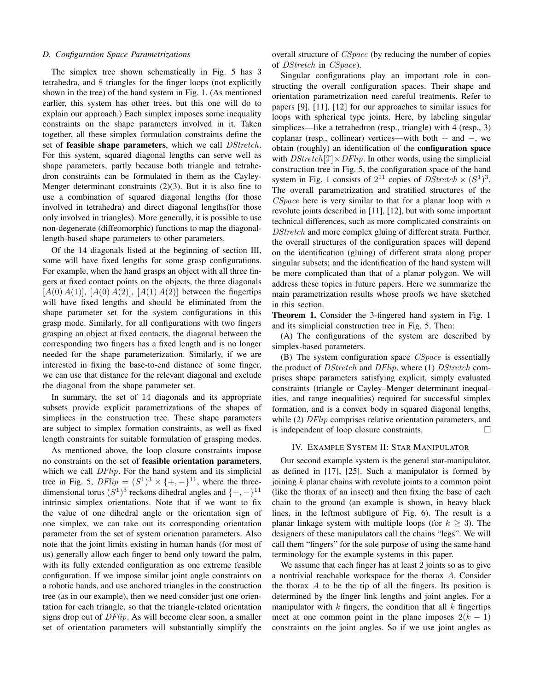## *D. Configuration Space Parametrizations*

The simplex tree shown schematically in Fig. 5 has 3 tetrahedra, and 8 triangles for the finger loops (not explicitly shown in the tree) of the hand system in Fig. 1. (As mentioned earlier, this system has other trees, but this one will do to explain our approach.) Each simplex imposes some inequality constraints on the shape parameters involved in it. Taken together, all these simplex formulation constraints define the set of feasible shape parameters, which we call *DStretch*. For this system, squared diagonal lengths can serve well as shape parameters, partly because both triangle and tetrahedron constraints can be formulated in them as the Cayley-Menger determinant constraints (2)(3). But it is also fine to use a combination of squared diagonal lengths (for those involved in tetrahedra) and direct diagonal lengths(for those only involved in triangles). More generally, it is possible to use non-degenerate (diffeomorphic) functions to map the diagonallength-based shape parameters to other parameters.

Of the 14 diagonals listed at the beginning of section III, some will have fixed lengths for some grasp configurations. For example, when the hand grasps an object with all three fingers at fixed contact points on the objects, the three diagonals [ $A(0) A(1)$ ], [ $A(0) A(2)$ ], [ $A(1) A(2)$ ] between the fingertips will have fixed lengths and should be eliminated from the shape parameter set for the system configurations in this grasp mode. Similarly, for all configurations with two fingers grasping an object at fixed contacts, the diagonal between the corresponding two fingers has a fixed length and is no longer needed for the shape parameterization. Similarly, if we are interested in fixing the base-to-end distance of some finger, we can use that distance for the relevant diagonal and exclude the diagonal from the shape parameter set.

In summary, the set of 14 diagonals and its appropriate subsets provide explicit parametrizations of the shapes of simplices in the construction tree. These shape parameters are subject to simplex formation constraints, as well as fixed length constraints for suitable formulation of grasping modes.

As mentioned above, the loop closure constraints impose no constraints on the set of feasible orientation parameters, which we call *DFlip*. For the hand system and its simplicial tree in Fig. 5,  $DFlip = (S^1)^3 \times \{+, -\}^{11}$ , where the threedimensional torus  $(S^1)^3$  reckons dihedral angles and  $\{+,-\}^{11}$ intrinsic simplex orientations. Note that if we want to fix the value of one dihedral angle or the orientation sign of one simplex, we can take out its corresponding orientation parameter from the set of system orienation parameters. Also note that the joint limits existing in human hands (for most of us) generally allow each finger to bend only toward the palm, with its fully extended configuration as one extreme feasible configuration. If we impose similar joint angle constraints on a robotic hands, and use anchored triangles in the construction tree (as in our example), then we need consider just one orientation for each triangle, so that the triangle-related orientation signs drop out of DFlip. As will become clear soon, a smaller set of orientation parameters will substantially simplify the overall structure of *CSpace* (by reducing the number of copies of DStretch in CSpace).

Singular configurations play an important role in constructing the overall configuration spaces. Their shape and orientation parametrization need careful treatments. Refer to papers [9], [11], [12] for our approaches to similar issues for loops with spherical type joints. Here, by labeling singular simplices—like a tetrahedron (resp., triangle) with 4 (resp., 3) coplanar (resp., collinear) vertices—with both  $+$  and  $-$ , we obtain (roughly) an identification of the configuration space with  $DStretch$ [T] × DFlip. In other words, using the simplicial construction tree in Fig. 5, the configuration space of the hand system in Fig. 1 consists of  $2^{11}$  copies of  $DStretch \times (S^1)^3$ . The overall parametrization and stratified structures of the  $CSpace$  here is very similar to that for a planar loop with n revolute joints described in [11], [12], but with some important technical differences, such as more complicated constraints on DStretch and more complex gluing of different strata. Further, the overall structures of the configuration spaces will depend on the identification (gluing) of different strata along proper singular subsets; and the identification of the hand system will be more complicated than that of a planar polygon. We will address these topics in future papers. Here we summarize the main parametrization results whose proofs we have sketched in this section.

Theorem 1. Consider the 3-fingered hand system in Fig. 1 and its simplicial construction tree in Fig. 5. Then:

(A) The configurations of the system are described by simplex-based parameters.

(B) The system configuration space CSpace is essentially the product of DStretch and DFlip, where (1) DStretch comprises shape parameters satisfying explicit, simply evaluated constraints (triangle or Cayley–Menger determinant inequalities, and range inequalities) required for successful simplex formation, and is a convex body in squared diagonal lengths, while (2) *DFlip* comprises relative orientation parameters, and is independent of loop closure constraints.  $\Box$ 

## IV. EXAMPLE SYSTEM II: STAR MANIPULATOR

Our second example system is the general star-manipulator, as defined in [17], [25]. Such a manipulator is formed by joining  $k$  planar chains with revolute joints to a common point (like the thorax of an insect) and then fixing the base of each chain to the ground (an example is shown, in heavy black lines, in the leftmost subfigure of Fig. 6). The result is a planar linkage system with multiple loops (for  $k \geq 3$ ). The designers of these manipulators call the chains "legs". We will call them "fingers" for the sole purpose of using the same hand terminology for the example systems in this paper.

We assume that each finger has at least 2 joints so as to give a nontrivial reachable workspace for the thorax A. Consider the thorax A to be the tip of all the fingers. Its position is determined by the finger link lengths and joint angles. For a manipulator with  $k$  fingers, the condition that all  $k$  fingertips meet at one common point in the plane imposes  $2(k - 1)$ constraints on the joint angles. So if we use joint angles as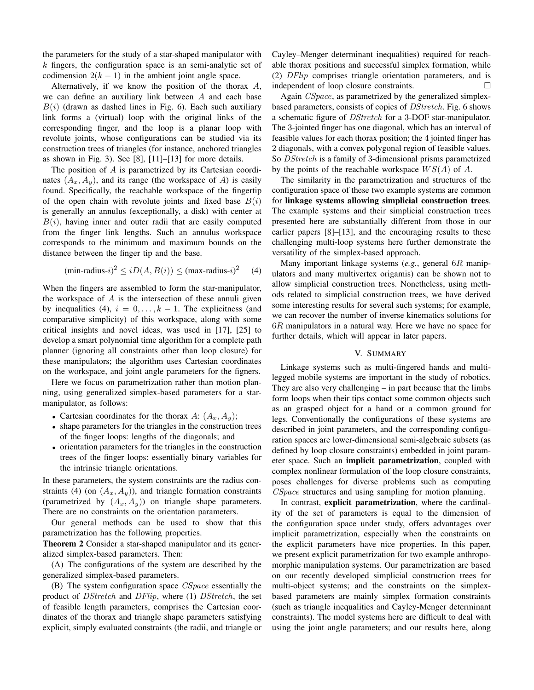the parameters for the study of a star-shaped manipulator with  $k$  fingers, the configuration space is an semi-analytic set of codimension  $2(k - 1)$  in the ambient joint angle space.

Alternatively, if we know the position of the thorax  $A$ , we can define an auxiliary link between A and each base  $B(i)$  (drawn as dashed lines in Fig. 6). Each such auxiliary link forms a (virtual) loop with the original links of the corresponding finger, and the loop is a planar loop with revolute joints, whose configurations can be studied via its construction trees of triangles (for instance, anchored triangles as shown in Fig. 3). See [8], [11]–[13] for more details.

The position of A is parametrized by its Cartesian coordinates  $(A_x, A_y)$ , and its range (the workspace of A) is easily found. Specifically, the reachable workspace of the fingertip of the open chain with revolute joints and fixed base  $B(i)$ is generally an annulus (exceptionally, a disk) with center at  $B(i)$ , having inner and outer radii that are easily computed from the finger link lengths. Such an annulus workspace corresponds to the minimum and maximum bounds on the distance between the finger tip and the base.

$$
(\min\text{-radius-}i)^2 \le iD(A, B(i)) \le (\max\text{-radius-}i)^2 \tag{4}
$$

When the fingers are assembled to form the star-manipulator, the workspace of  $A$  is the intersection of these annuli given by inequalities (4),  $i = 0, \ldots, k - 1$ . The explicitness (and comparative simplicity) of this workspace, along with some critical insights and novel ideas, was used in [17], [25] to develop a smart polynomial time algorithm for a complete path planner (ignoring all constraints other than loop closure) for these manipulators; the algorithm uses Cartesian coordinates on the workspace, and joint angle parameters for the figners.

Here we focus on parametrization rather than motion planning, using generalized simplex-based parameters for a starmanipulator, as follows:

- Cartesian coordinates for the thorax  $A: (A_x, A_y);$
- shape parameters for the triangles in the construction trees of the finger loops: lengths of the diagonals; and
- orientation parameters for the triangles in the construction trees of the finger loops: essentially binary variables for the intrinsic triangle orientations.

In these parameters, the system constraints are the radius constraints (4) (on  $(A_x, A_y)$ ), and triangle formation constraints (parametrized by  $(A_x, A_y)$ ) on triangle shape parameters. There are no constraints on the orientation parameters.

Our general methods can be used to show that this parametrization has the following properties.

Theorem 2 Consider a star-shaped manipulator and its generalized simplex-based parameters. Then:

(A) The configurations of the system are described by the generalized simplex-based parameters.

(B) The system configuration space CSpace essentially the product of DStretch and DFlip, where (1) DStretch, the set of feasible length parameters, comprises the Cartesian coordinates of the thorax and triangle shape parameters satisfying explicit, simply evaluated constraints (the radii, and triangle or Cayley–Menger determinant inequalities) required for reachable thorax positions and successful simplex formation, while (2) DFlip comprises triangle orientation parameters, and is independent of loop closure constraints.

Again CSpace, as parametrized by the generalized simplexbased parameters, consists of copies of DStretch. Fig. 6 shows a schematic figure of DStretch for a 3-DOF star-manipulator. The 3-jointed finger has one diagonal, which has an interval of feasible values for each thorax position; the 4 jointed finger has 2 diagonals, with a convex polygonal region of feasible values. So *DStretch* is a family of 3-dimensional prisms parametrized by the points of the reachable workspace  $WS(A)$  of A.

The similarity in the parametrization and structures of the configuration space of these two example systems are common for linkage systems allowing simplicial construction trees. The example systems and their simplicial construction trees presented here are substantially different from those in our earlier papers [8]–[13], and the encouraging results to these challenging multi-loop systems here further demonstrate the versatility of the simplex-based approach.

Many important linkage systems (*e.g.*, general 6R manipulators and many multivertex origamis) can be shown not to allow simplicial construction trees. Nonetheless, using methods related to simplicial construction trees, we have derived some interesting results for several such systems; for example, we can recover the number of inverse kinematics solutions for  $6R$  manipulators in a natural way. Here we have no space for further details, which will appear in later papers.

## V. SUMMARY

Linkage systems such as multi-fingered hands and multilegged mobile systems are important in the study of robotics. They are also very challenging – in part because that the limbs form loops when their tips contact some common objects such as an grasped object for a hand or a common ground for legs. Conventionally the configurations of these systems are described in joint parameters, and the corresponding configuration spaces are lower-dimensional semi-algebraic subsets (as defined by loop closure constraints) embedded in joint parameter space. Such an implicit parametrization, coupled with complex nonlinear formulation of the loop closure constraints, poses challenges for diverse problems such as computing CSpace structures and using sampling for motion planning.

In contrast, explicit parametrization, where the cardinality of the set of parameters is equal to the dimension of the configuration space under study, offers advantages over implicit parametrization, especially when the constraints on the explicit parameters have nice properties. In this paper, we present explicit parametrization for two example anthropomorphic manipulation systems. Our parametrization are based on our recently developed simplicial construction trees for multi-object systems; and the constraints on the simplexbased parameters are mainly simplex formation constraints (such as triangle inequalities and Cayley-Menger determinant constraints). The model systems here are difficult to deal with using the joint angle parameters; and our results here, along